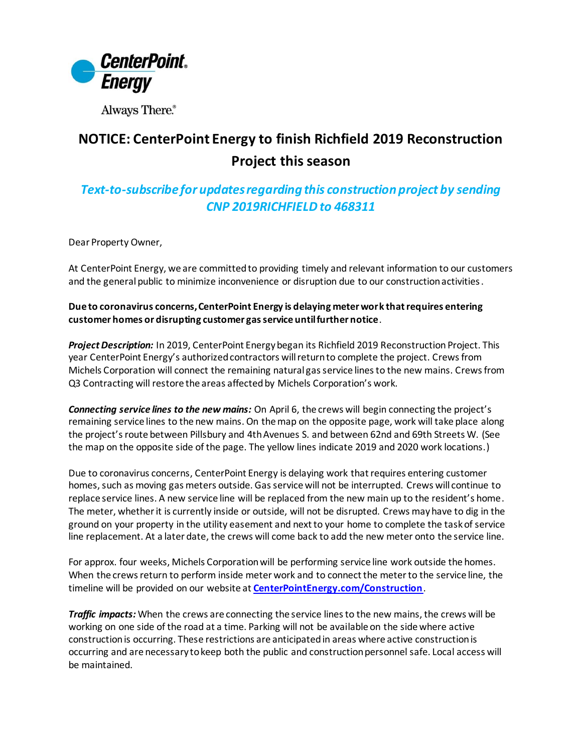

Always There.®

## **NOTICE: CenterPoint Energy to finish Richfield 2019 Reconstruction Project this season**

## *Text-to-subscribe for updates regarding this construction project by sending*  **CNP 2019RICHFIELD to 468311**

Dear Property Owner,

At CenterPoint Energy, we are committed to providing timely and relevant information to our customers and the general public to minimize inconvenience or disruption due to our construction activities.

## **Due to coronavirus concerns, CenterPoint Energy is delaying meter work that requires entering customer homes or disrupting customer gas service until further notice**.

*Project Description:* In 2019, CenterPoint Energy began its Richfield 2019 Reconstruction Project. This year CenterPoint Energy's authorized contractors will return to complete the project. Crews from Michels Corporation will connect the remaining natural gas service lines to the new mains. Crews from Q3 Contracting will restore the areas affected by Michels Corporation's work.

*Connecting service lines to the new mains:* On April 6, the crews will begin connecting the project's remaining service lines to the new mains. On the map on the opposite page, work will take place along the project's route between Pillsbury and 4th Avenues S. and between 62nd and 69th Streets W. (See the map on the opposite side of the page. The yellow lines indicate 2019 and 2020 work locations.)

Due to coronavirus concerns, CenterPoint Energy is delaying work that requires entering customer homes, such as moving gas meters outside. Gas service will not be interrupted. Crews will continue to replace service lines. A new service line will be replaced from the new main up to the resident's home. The meter, whether it is currently inside or outside, will not be disrupted. Crews may have to dig in the ground on your property in the utility easement and next to your home to complete the task of service line replacement. At a later date, the crews will come back to add the new meter onto the service line.

For approx. four weeks, Michels Corporation will be performing service line work outside the homes. When the crews return to perform inside meter work and to connect the meter to the service line, the timeline will be provided on our website at **[CenterPointEnergy.com/Construction](http://www.centerpointenergy.com/Construction)**.

*Traffic impacts:* When the crews are connecting the service lines to the new mains, the crews will be working on one side of the road at a time. Parking will not be available on the side where active construction is occurring. These restrictions are anticipated in areas where active construction is occurring and are necessary to keep both the public and construction personnel safe. Local access will be maintained.